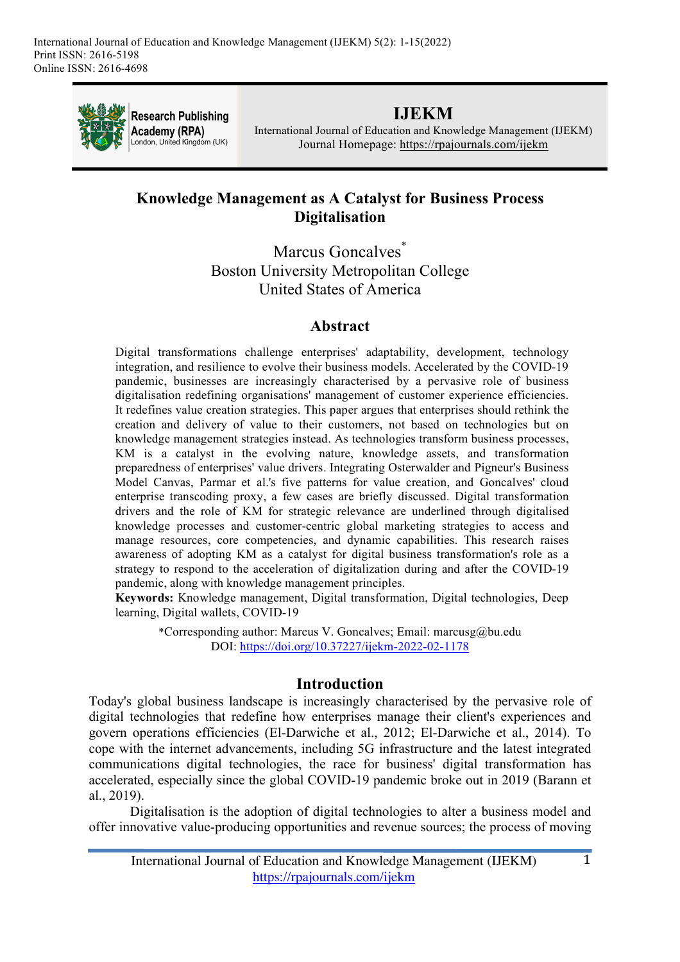

**Research Publishing** Academy (RPA) London, United Kingdom (UK)

# **IJEKM**

International Journal of Education and Knowledge Management (IJEKM) Journal Homepage: https://rpajournals.com/ijekm

# **Knowledge Management as A Catalyst for Business Process Digitalisation**

Marcus Goncalves<sup>\*</sup> Boston University Metropolitan College United States of America

# **Abstract**

Digital transformations challenge enterprises' adaptability, development, technology integration, and resilience to evolve their business models. Accelerated by the COVID-19 pandemic, businesses are increasingly characterised by a pervasive role of business digitalisation redefining organisations' management of customer experience efficiencies. It redefines value creation strategies. This paper argues that enterprises should rethink the creation and delivery of value to their customers, not based on technologies but on knowledge management strategies instead. As technologies transform business processes, KM is a catalyst in the evolving nature, knowledge assets, and transformation preparedness of enterprises' value drivers. Integrating Osterwalder and Pigneur's Business Model Canvas, Parmar et al.'s five patterns for value creation, and Goncalves' cloud enterprise transcoding proxy, a few cases are briefly discussed. Digital transformation drivers and the role of KM for strategic relevance are underlined through digitalised knowledge processes and customer-centric global marketing strategies to access and manage resources, core competencies, and dynamic capabilities. This research raises awareness of adopting KM as a catalyst for digital business transformation's role as a strategy to respond to the acceleration of digitalization during and after the COVID-19 pandemic, along with knowledge management principles.

**Keywords:** Knowledge management, Digital transformation, Digital technologies, Deep learning, Digital wallets, COVID-19

\*Corresponding author: Marcus V. Goncalves; Email: marcusg@bu.edu DOI: https://doi.org/10.37227/ijekm-2022-02-1178

## **Introduction**

Today's global business landscape is increasingly characterised by the pervasive role of digital technologies that redefine how enterprises manage their client's experiences and govern operations efficiencies (El-Darwiche et al., 2012; El-Darwiche et al., 2014). To cope with the internet advancements, including 5G infrastructure and the latest integrated communications digital technologies, the race for business' digital transformation has accelerated, especially since the global COVID-19 pandemic broke out in 2019 (Barann et al., 2019).

Digitalisation is the adoption of digital technologies to alter a business model and offer innovative value-producing opportunities and revenue sources; the process of moving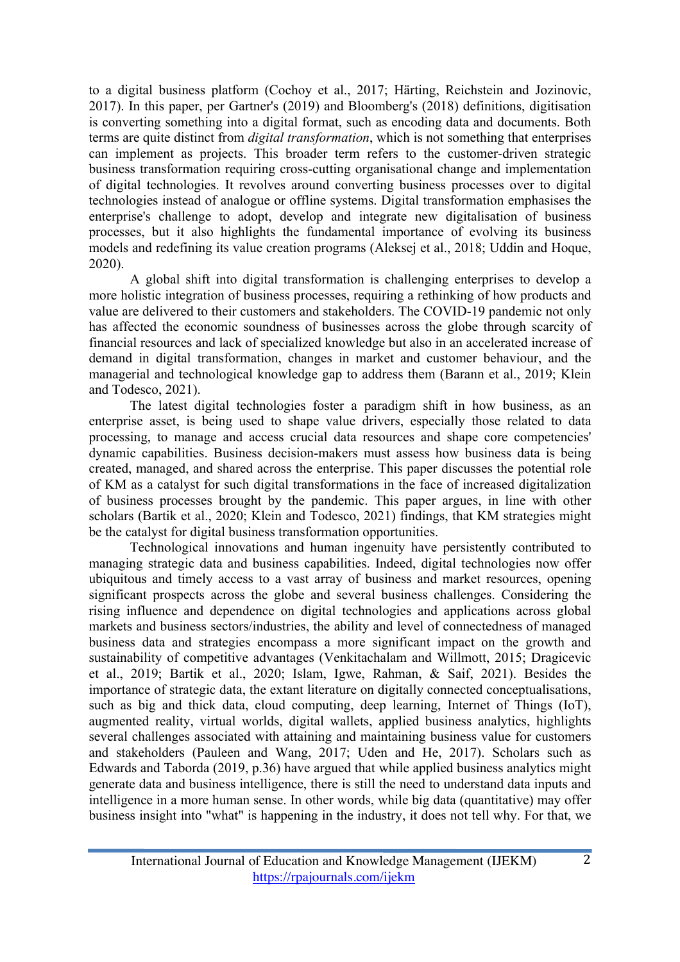to a digital business platform (Cochoy et al., 2017; Härting, Reichstein and Jozinovic, 2017). In this paper, per Gartner's (2019) and Bloomberg's (2018) definitions, digitisation is converting something into a digital format, such as encoding data and documents. Both terms are quite distinct from *digital transformation*, which is not something that enterprises can implement as projects. This broader term refers to the customer-driven strategic business transformation requiring cross-cutting organisational change and implementation of digital technologies. It revolves around converting business processes over to digital technologies instead of analogue or offline systems. Digital transformation emphasises the enterprise's challenge to adopt, develop and integrate new digitalisation of business processes, but it also highlights the fundamental importance of evolving its business models and redefining its value creation programs (Aleksej et al., 2018; Uddin and Hoque, 2020).

A global shift into digital transformation is challenging enterprises to develop a more holistic integration of business processes, requiring a rethinking of how products and value are delivered to their customers and stakeholders. The COVID-19 pandemic not only has affected the economic soundness of businesses across the globe through scarcity of financial resources and lack of specialized knowledge but also in an accelerated increase of demand in digital transformation, changes in market and customer behaviour, and the managerial and technological knowledge gap to address them (Barann et al., 2019; Klein and Todesco, 2021).

The latest digital technologies foster a paradigm shift in how business, as an enterprise asset, is being used to shape value drivers, especially those related to data processing, to manage and access crucial data resources and shape core competencies' dynamic capabilities. Business decision-makers must assess how business data is being created, managed, and shared across the enterprise. This paper discusses the potential role of KM as a catalyst for such digital transformations in the face of increased digitalization of business processes brought by the pandemic. This paper argues, in line with other scholars (Bartik et al., 2020; Klein and Todesco, 2021) findings, that KM strategies might be the catalyst for digital business transformation opportunities.

Technological innovations and human ingenuity have persistently contributed to managing strategic data and business capabilities. Indeed, digital technologies now offer ubiquitous and timely access to a vast array of business and market resources, opening significant prospects across the globe and several business challenges. Considering the rising influence and dependence on digital technologies and applications across global markets and business sectors/industries, the ability and level of connectedness of managed business data and strategies encompass a more significant impact on the growth and sustainability of competitive advantages (Venkitachalam and Willmott, 2015; Dragicevic et al., 2019; Bartik et al., 2020; Islam, Igwe, Rahman, & Saif, 2021). Besides the importance of strategic data, the extant literature on digitally connected conceptualisations, such as big and thick data, cloud computing, deep learning, Internet of Things (IoT), augmented reality, virtual worlds, digital wallets, applied business analytics, highlights several challenges associated with attaining and maintaining business value for customers and stakeholders (Pauleen and Wang, 2017; Uden and He, 2017). Scholars such as Edwards and Taborda (2019, p.36) have argued that while applied business analytics might generate data and business intelligence, there is still the need to understand data inputs and intelligence in a more human sense. In other words, while big data (quantitative) may offer business insight into "what" is happening in the industry, it does not tell why. For that, we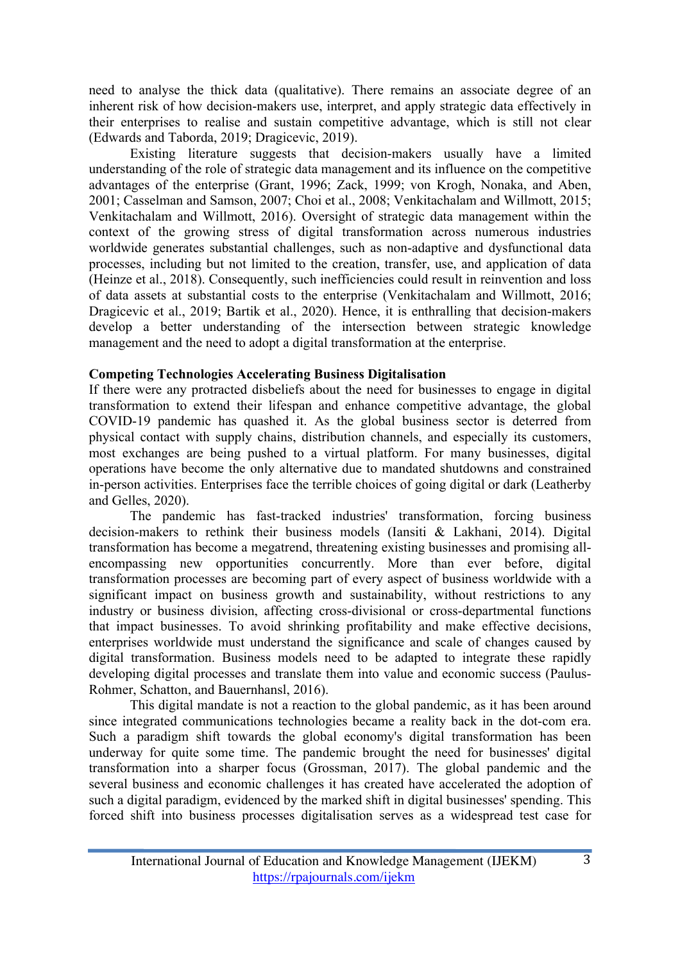need to analyse the thick data (qualitative). There remains an associate degree of an inherent risk of how decision-makers use, interpret, and apply strategic data effectively in their enterprises to realise and sustain competitive advantage, which is still not clear (Edwards and Taborda, 2019; Dragicevic, 2019).

Existing literature suggests that decision-makers usually have a limited understanding of the role of strategic data management and its influence on the competitive advantages of the enterprise (Grant, 1996; Zack, 1999; von Krogh, Nonaka, and Aben, 2001; Casselman and Samson, 2007; Choi et al., 2008; Venkitachalam and Willmott, 2015; Venkitachalam and Willmott, 2016). Oversight of strategic data management within the context of the growing stress of digital transformation across numerous industries worldwide generates substantial challenges, such as non-adaptive and dysfunctional data processes, including but not limited to the creation, transfer, use, and application of data (Heinze et al., 2018). Consequently, such inefficiencies could result in reinvention and loss of data assets at substantial costs to the enterprise (Venkitachalam and Willmott, 2016; Dragicevic et al., 2019; Bartik et al., 2020). Hence, it is enthralling that decision-makers develop a better understanding of the intersection between strategic knowledge management and the need to adopt a digital transformation at the enterprise.

#### **Competing Technologies Accelerating Business Digitalisation**

If there were any protracted disbeliefs about the need for businesses to engage in digital transformation to extend their lifespan and enhance competitive advantage, the global COVID-19 pandemic has quashed it. As the global business sector is deterred from physical contact with supply chains, distribution channels, and especially its customers, most exchanges are being pushed to a virtual platform. For many businesses, digital operations have become the only alternative due to mandated shutdowns and constrained in-person activities. Enterprises face the terrible choices of going digital or dark (Leatherby and Gelles, 2020).

The pandemic has fast-tracked industries' transformation, forcing business decision-makers to rethink their business models (Iansiti & Lakhani, 2014). Digital transformation has become a megatrend, threatening existing businesses and promising allencompassing new opportunities concurrently. More than ever before, digital transformation processes are becoming part of every aspect of business worldwide with a significant impact on business growth and sustainability, without restrictions to any industry or business division, affecting cross-divisional or cross-departmental functions that impact businesses. To avoid shrinking profitability and make effective decisions, enterprises worldwide must understand the significance and scale of changes caused by digital transformation. Business models need to be adapted to integrate these rapidly developing digital processes and translate them into value and economic success (Paulus-Rohmer, Schatton, and Bauernhansl, 2016).

This digital mandate is not a reaction to the global pandemic, as it has been around since integrated communications technologies became a reality back in the dot-com era. Such a paradigm shift towards the global economy's digital transformation has been underway for quite some time. The pandemic brought the need for businesses' digital transformation into a sharper focus (Grossman, 2017). The global pandemic and the several business and economic challenges it has created have accelerated the adoption of such a digital paradigm, evidenced by the marked shift in digital businesses' spending. This forced shift into business processes digitalisation serves as a widespread test case for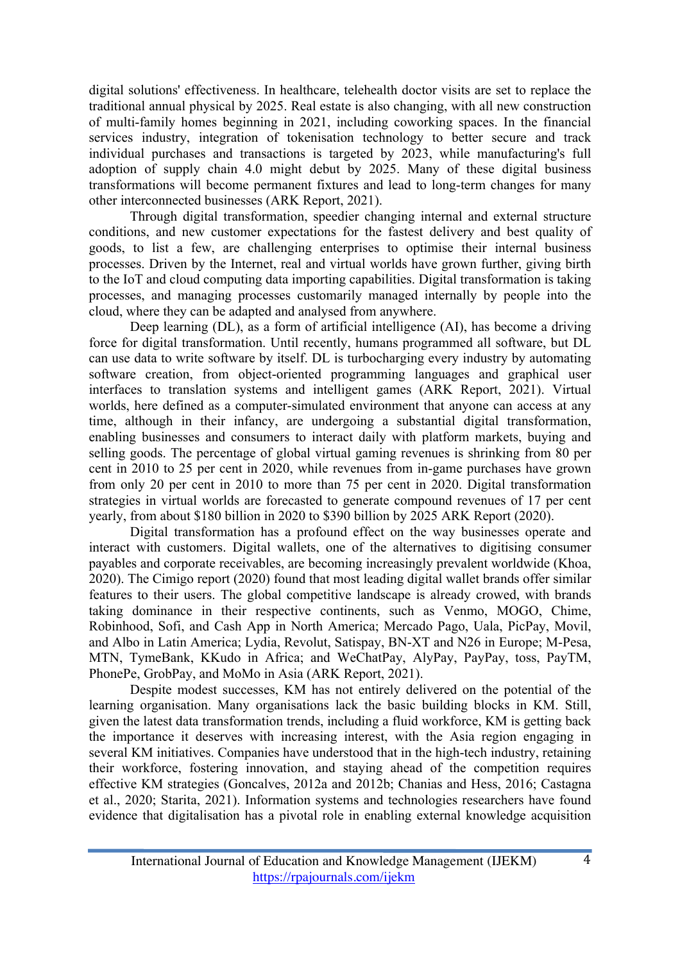digital solutions' effectiveness. In healthcare, telehealth doctor visits are set to replace the traditional annual physical by 2025. Real estate is also changing, with all new construction of multi-family homes beginning in 2021, including coworking spaces. In the financial services industry, integration of tokenisation technology to better secure and track individual purchases and transactions is targeted by 2023, while manufacturing's full adoption of supply chain 4.0 might debut by 2025. Many of these digital business transformations will become permanent fixtures and lead to long-term changes for many other interconnected businesses (ARK Report, 2021).

Through digital transformation, speedier changing internal and external structure conditions, and new customer expectations for the fastest delivery and best quality of goods, to list a few, are challenging enterprises to optimise their internal business processes. Driven by the Internet, real and virtual worlds have grown further, giving birth to the IoT and cloud computing data importing capabilities. Digital transformation is taking processes, and managing processes customarily managed internally by people into the cloud, where they can be adapted and analysed from anywhere.

Deep learning (DL), as a form of artificial intelligence (AI), has become a driving force for digital transformation. Until recently, humans programmed all software, but DL can use data to write software by itself. DL is turbocharging every industry by automating software creation, from object-oriented programming languages and graphical user interfaces to translation systems and intelligent games (ARK Report, 2021). Virtual worlds, here defined as a computer-simulated environment that anyone can access at any time, although in their infancy, are undergoing a substantial digital transformation, enabling businesses and consumers to interact daily with platform markets, buying and selling goods. The percentage of global virtual gaming revenues is shrinking from 80 per cent in 2010 to 25 per cent in 2020, while revenues from in-game purchases have grown from only 20 per cent in 2010 to more than 75 per cent in 2020. Digital transformation strategies in virtual worlds are forecasted to generate compound revenues of 17 per cent yearly, from about \$180 billion in 2020 to \$390 billion by 2025 ARK Report (2020).

Digital transformation has a profound effect on the way businesses operate and interact with customers. Digital wallets, one of the alternatives to digitising consumer payables and corporate receivables, are becoming increasingly prevalent worldwide (Khoa, 2020). The Cimigo report (2020) found that most leading digital wallet brands offer similar features to their users. The global competitive landscape is already crowed, with brands taking dominance in their respective continents, such as Venmo, MOGO, Chime, Robinhood, Sofi, and Cash App in North America; Mercado Pago, Uala, PicPay, Movil, and Albo in Latin America; Lydia, Revolut, Satispay, BN-XT and N26 in Europe; M-Pesa, MTN, TymeBank, KKudo in Africa; and WeChatPay, AlyPay, PayPay, toss, PayTM, PhonePe, GrobPay, and MoMo in Asia (ARK Report, 2021).

Despite modest successes, KM has not entirely delivered on the potential of the learning organisation. Many organisations lack the basic building blocks in KM. Still, given the latest data transformation trends, including a fluid workforce, KM is getting back the importance it deserves with increasing interest, with the Asia region engaging in several KM initiatives. Companies have understood that in the high-tech industry, retaining their workforce, fostering innovation, and staying ahead of the competition requires effective KM strategies (Goncalves, 2012a and 2012b; Chanias and Hess, 2016; Castagna et al., 2020; Starita, 2021). Information systems and technologies researchers have found evidence that digitalisation has a pivotal role in enabling external knowledge acquisition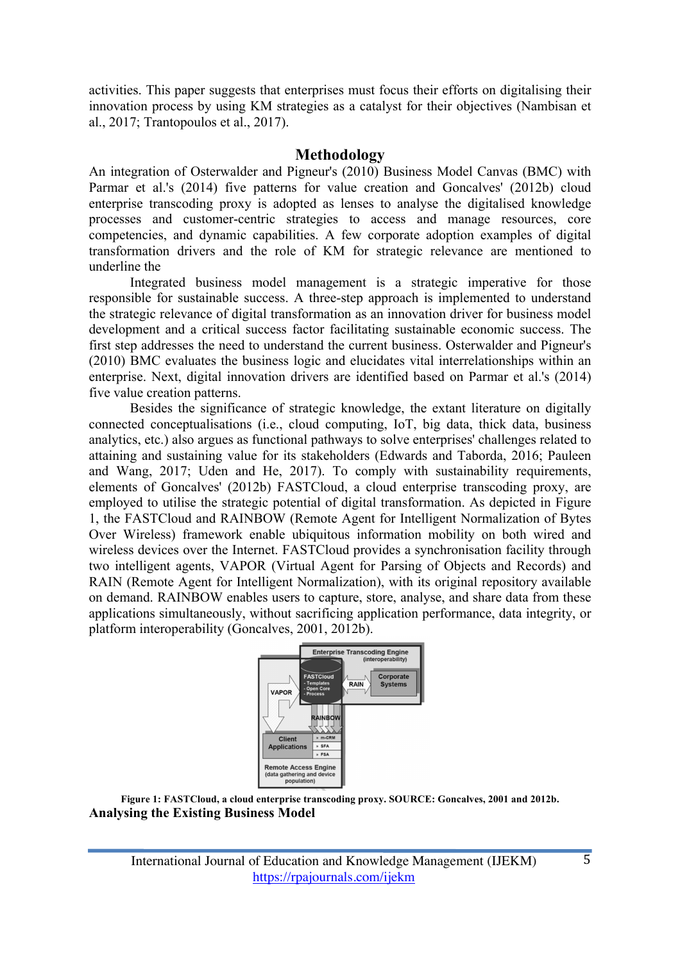activities. This paper suggests that enterprises must focus their efforts on digitalising their innovation process by using KM strategies as a catalyst for their objectives (Nambisan et al., 2017; Trantopoulos et al., 2017).

#### **Methodology**

An integration of Osterwalder and Pigneur's (2010) Business Model Canvas (BMC) with Parmar et al.'s (2014) five patterns for value creation and Goncalves' (2012b) cloud enterprise transcoding proxy is adopted as lenses to analyse the digitalised knowledge processes and customer-centric strategies to access and manage resources, core competencies, and dynamic capabilities. A few corporate adoption examples of digital transformation drivers and the role of KM for strategic relevance are mentioned to underline the

Integrated business model management is a strategic imperative for those responsible for sustainable success. A three-step approach is implemented to understand the strategic relevance of digital transformation as an innovation driver for business model development and a critical success factor facilitating sustainable economic success. The first step addresses the need to understand the current business. Osterwalder and Pigneur's (2010) BMC evaluates the business logic and elucidates vital interrelationships within an enterprise. Next, digital innovation drivers are identified based on Parmar et al.'s (2014) five value creation patterns.

Besides the significance of strategic knowledge, the extant literature on digitally connected conceptualisations (i.e., cloud computing, IoT, big data, thick data, business analytics, etc.) also argues as functional pathways to solve enterprises' challenges related to attaining and sustaining value for its stakeholders (Edwards and Taborda, 2016; Pauleen and Wang, 2017; Uden and He, 2017). To comply with sustainability requirements, elements of Goncalves' (2012b) FASTCloud, a cloud enterprise transcoding proxy, are employed to utilise the strategic potential of digital transformation. As depicted in Figure 1, the FASTCloud and RAINBOW (Remote Agent for Intelligent Normalization of Bytes Over Wireless) framework enable ubiquitous information mobility on both wired and wireless devices over the Internet. FASTCloud provides a synchronisation facility through two intelligent agents, VAPOR (Virtual Agent for Parsing of Objects and Records) and RAIN (Remote Agent for Intelligent Normalization), with its original repository available on demand. RAINBOW enables users to capture, store, analyse, and share data from these applications simultaneously, without sacrificing application performance, data integrity, or platform interoperability (Goncalves, 2001, 2012b).



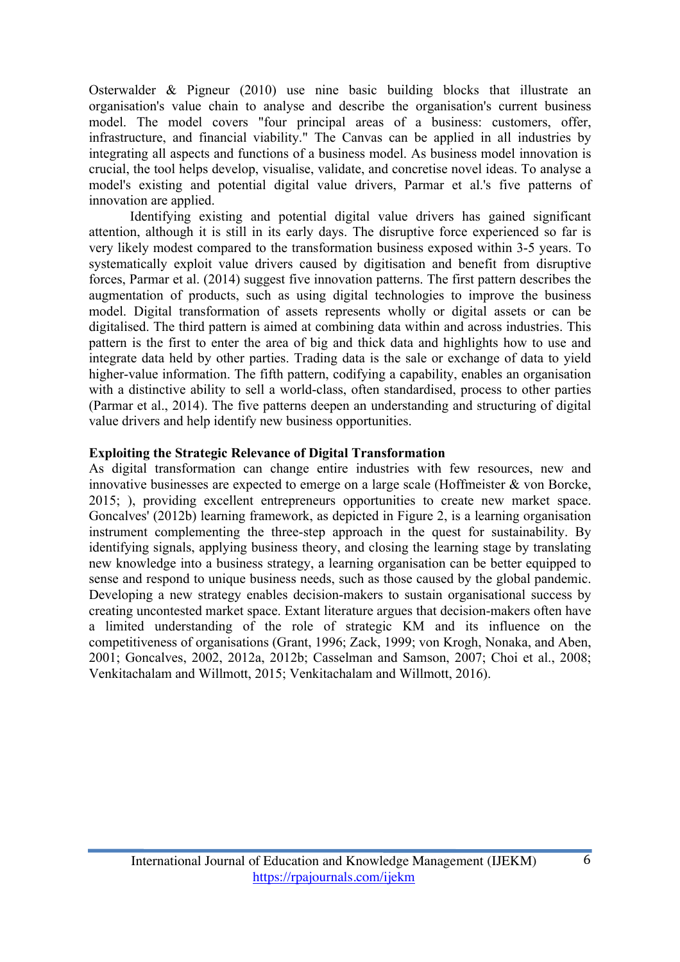Osterwalder & Pigneur (2010) use nine basic building blocks that illustrate an organisation's value chain to analyse and describe the organisation's current business model. The model covers "four principal areas of a business: customers, offer, infrastructure, and financial viability." The Canvas can be applied in all industries by integrating all aspects and functions of a business model. As business model innovation is crucial, the tool helps develop, visualise, validate, and concretise novel ideas. To analyse a model's existing and potential digital value drivers, Parmar et al.'s five patterns of innovation are applied.

Identifying existing and potential digital value drivers has gained significant attention, although it is still in its early days. The disruptive force experienced so far is very likely modest compared to the transformation business exposed within 3-5 years. To systematically exploit value drivers caused by digitisation and benefit from disruptive forces, Parmar et al. (2014) suggest five innovation patterns. The first pattern describes the augmentation of products, such as using digital technologies to improve the business model. Digital transformation of assets represents wholly or digital assets or can be digitalised. The third pattern is aimed at combining data within and across industries. This pattern is the first to enter the area of big and thick data and highlights how to use and integrate data held by other parties. Trading data is the sale or exchange of data to yield higher-value information. The fifth pattern, codifying a capability, enables an organisation with a distinctive ability to sell a world-class, often standardised, process to other parties (Parmar et al., 2014). The five patterns deepen an understanding and structuring of digital value drivers and help identify new business opportunities.

#### **Exploiting the Strategic Relevance of Digital Transformation**

As digital transformation can change entire industries with few resources, new and innovative businesses are expected to emerge on a large scale (Hoffmeister & von Borcke, 2015; ), providing excellent entrepreneurs opportunities to create new market space. Goncalves' (2012b) learning framework, as depicted in Figure 2, is a learning organisation instrument complementing the three-step approach in the quest for sustainability. By identifying signals, applying business theory, and closing the learning stage by translating new knowledge into a business strategy, a learning organisation can be better equipped to sense and respond to unique business needs, such as those caused by the global pandemic. Developing a new strategy enables decision-makers to sustain organisational success by creating uncontested market space. Extant literature argues that decision-makers often have a limited understanding of the role of strategic KM and its influence on the competitiveness of organisations (Grant, 1996; Zack, 1999; von Krogh, Nonaka, and Aben, 2001; Goncalves, 2002, 2012a, 2012b; Casselman and Samson, 2007; Choi et al., 2008; Venkitachalam and Willmott, 2015; Venkitachalam and Willmott, 2016).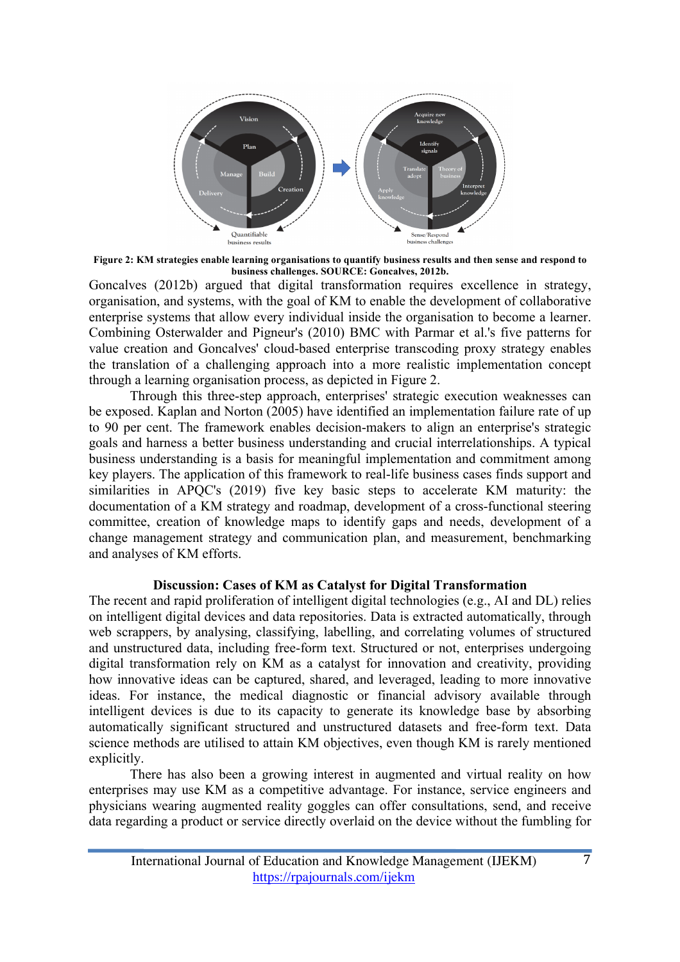

**Figure 2: KM strategies enable learning organisations to quantify business results and then sense and respond to business challenges. SOURCE: Goncalves, 2012b.** 

Goncalves (2012b) argued that digital transformation requires excellence in strategy, organisation, and systems, with the goal of KM to enable the development of collaborative enterprise systems that allow every individual inside the organisation to become a learner. Combining Osterwalder and Pigneur's (2010) BMC with Parmar et al.'s five patterns for value creation and Goncalves' cloud-based enterprise transcoding proxy strategy enables the translation of a challenging approach into a more realistic implementation concept through a learning organisation process, as depicted in Figure 2.

Through this three-step approach, enterprises' strategic execution weaknesses can be exposed. Kaplan and Norton (2005) have identified an implementation failure rate of up to 90 per cent. The framework enables decision-makers to align an enterprise's strategic goals and harness a better business understanding and crucial interrelationships. A typical business understanding is a basis for meaningful implementation and commitment among key players. The application of this framework to real-life business cases finds support and similarities in APQC's (2019) five key basic steps to accelerate KM maturity: the documentation of a KM strategy and roadmap, development of a cross-functional steering committee, creation of knowledge maps to identify gaps and needs, development of a change management strategy and communication plan, and measurement, benchmarking and analyses of KM efforts.

#### **Discussion: Cases of KM as Catalyst for Digital Transformation**

The recent and rapid proliferation of intelligent digital technologies (e.g., AI and DL) relies on intelligent digital devices and data repositories. Data is extracted automatically, through web scrappers, by analysing, classifying, labelling, and correlating volumes of structured and unstructured data, including free-form text. Structured or not, enterprises undergoing digital transformation rely on KM as a catalyst for innovation and creativity, providing how innovative ideas can be captured, shared, and leveraged, leading to more innovative ideas. For instance, the medical diagnostic or financial advisory available through intelligent devices is due to its capacity to generate its knowledge base by absorbing automatically significant structured and unstructured datasets and free-form text. Data science methods are utilised to attain KM objectives, even though KM is rarely mentioned explicitly.

There has also been a growing interest in augmented and virtual reality on how enterprises may use KM as a competitive advantage. For instance, service engineers and physicians wearing augmented reality goggles can offer consultations, send, and receive data regarding a product or service directly overlaid on the device without the fumbling for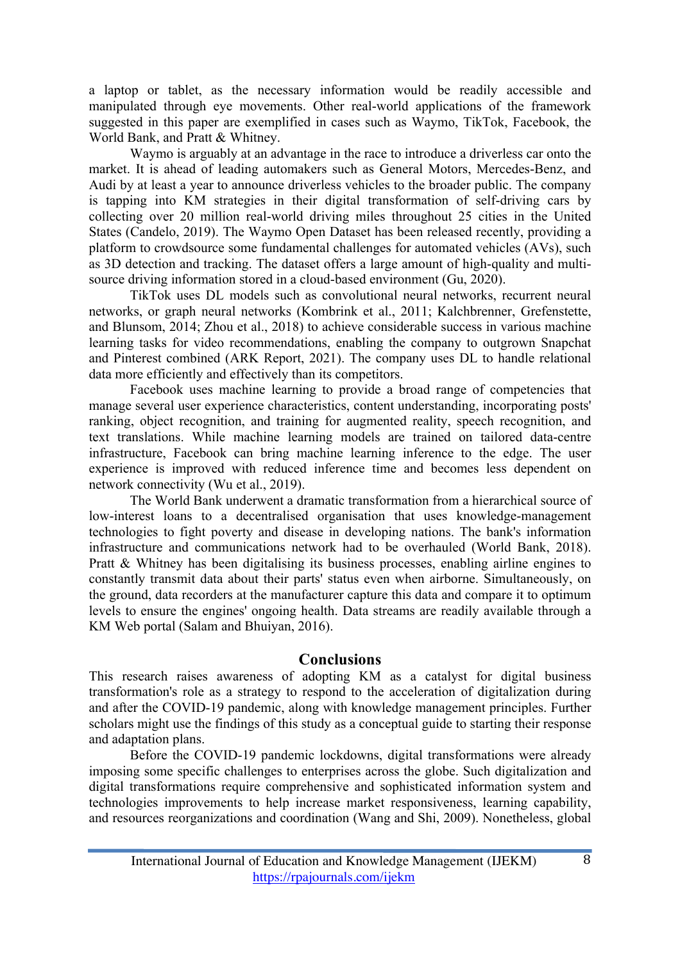a laptop or tablet, as the necessary information would be readily accessible and manipulated through eye movements. Other real-world applications of the framework suggested in this paper are exemplified in cases such as Waymo, TikTok, Facebook, the World Bank, and Pratt & Whitney.

Waymo is arguably at an advantage in the race to introduce a driverless car onto the market. It is ahead of leading automakers such as General Motors, Mercedes-Benz, and Audi by at least a year to announce driverless vehicles to the broader public. The company is tapping into KM strategies in their digital transformation of self-driving cars by collecting over 20 million real-world driving miles throughout 25 cities in the United States (Candelo, 2019). The Waymo Open Dataset has been released recently, providing a platform to crowdsource some fundamental challenges for automated vehicles (AVs), such as 3D detection and tracking. The dataset offers a large amount of high-quality and multisource driving information stored in a cloud-based environment (Gu, 2020).

TikTok uses DL models such as convolutional neural networks, recurrent neural networks, or graph neural networks (Kombrink et al., 2011; Kalchbrenner, Grefenstette, and Blunsom, 2014; Zhou et al., 2018) to achieve considerable success in various machine learning tasks for video recommendations, enabling the company to outgrown Snapchat and Pinterest combined (ARK Report, 2021). The company uses DL to handle relational data more efficiently and effectively than its competitors.

Facebook uses machine learning to provide a broad range of competencies that manage several user experience characteristics, content understanding, incorporating posts' ranking, object recognition, and training for augmented reality, speech recognition, and text translations. While machine learning models are trained on tailored data-centre infrastructure, Facebook can bring machine learning inference to the edge. The user experience is improved with reduced inference time and becomes less dependent on network connectivity (Wu et al., 2019).

The World Bank underwent a dramatic transformation from a hierarchical source of low-interest loans to a decentralised organisation that uses knowledge-management technologies to fight poverty and disease in developing nations. The bank's information infrastructure and communications network had to be overhauled (World Bank, 2018). Pratt & Whitney has been digitalising its business processes, enabling airline engines to constantly transmit data about their parts' status even when airborne. Simultaneously, on the ground, data recorders at the manufacturer capture this data and compare it to optimum levels to ensure the engines' ongoing health. Data streams are readily available through a KM Web portal (Salam and Bhuiyan, 2016).

#### **Conclusions**

This research raises awareness of adopting KM as a catalyst for digital business transformation's role as a strategy to respond to the acceleration of digitalization during and after the COVID-19 pandemic, along with knowledge management principles. Further scholars might use the findings of this study as a conceptual guide to starting their response and adaptation plans.

Before the COVID-19 pandemic lockdowns, digital transformations were already imposing some specific challenges to enterprises across the globe. Such digitalization and digital transformations require comprehensive and sophisticated information system and technologies improvements to help increase market responsiveness, learning capability, and resources reorganizations and coordination (Wang and Shi, 2009). Nonetheless, global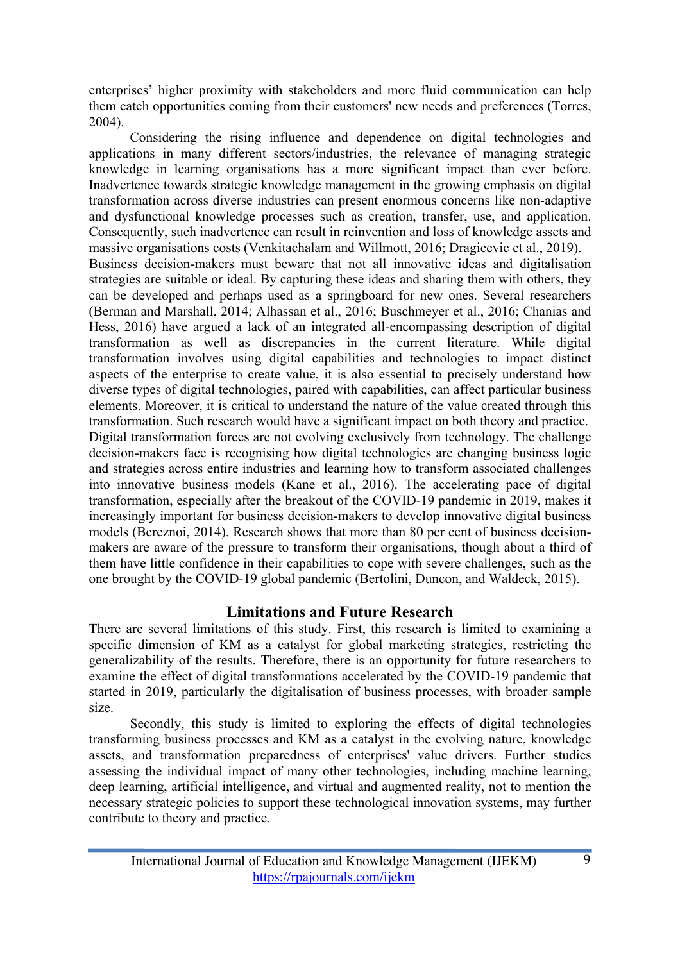enterprises' higher proximity with stakeholders and more fluid communication can help them catch opportunities coming from their customers' new needs and preferences (Torres, 2004).

Considering the rising influence and dependence on digital technologies and applications in many different sectors/industries, the relevance of managing strategic knowledge in learning organisations has a more significant impact than ever before. Inadvertence towards strategic knowledge management in the growing emphasis on digital transformation across diverse industries can present enormous concerns like non-adaptive and dysfunctional knowledge processes such as creation, transfer, use, and application. Consequently, such inadvertence can result in reinvention and loss of knowledge assets and massive organisations costs (Venkitachalam and Willmott, 2016; Dragicevic et al., 2019). Business decision-makers must beware that not all innovative ideas and digitalisation strategies are suitable or ideal. By capturing these ideas and sharing them with others, they can be developed and perhaps used as a springboard for new ones. Several researchers (Berman and Marshall, 2014; Alhassan et al., 2016; Buschmeyer et al., 2016; Chanias and Hess, 2016) have argued a lack of an integrated all-encompassing description of digital transformation as well as discrepancies in the current literature. While digital transformation involves using digital capabilities and technologies to impact distinct aspects of the enterprise to create value, it is also essential to precisely understand how diverse types of digital technologies, paired with capabilities, can affect particular business elements. Moreover, it is critical to understand the nature of the value created through this transformation. Such research would have a significant impact on both theory and practice. Digital transformation forces are not evolving exclusively from technology. The challenge decision-makers face is recognising how digital technologies are changing business logic and strategies across entire industries and learning how to transform associated challenges into innovative business models (Kane et al., 2016). The accelerating pace of digital transformation, especially after the breakout of the COVID-19 pandemic in 2019, makes it increasingly important for business decision-makers to develop innovative digital business models (Bereznoi, 2014). Research shows that more than 80 per cent of business decisionmakers are aware of the pressure to transform their organisations, though about a third of them have little confidence in their capabilities to cope with severe challenges, such as the one brought by the COVID-19 global pandemic (Bertolini, Duncon, and Waldeck, 2015).

## **Limitations and Future Research**

There are several limitations of this study. First, this research is limited to examining a specific dimension of KM as a catalyst for global marketing strategies, restricting the generalizability of the results. Therefore, there is an opportunity for future researchers to examine the effect of digital transformations accelerated by the COVID-19 pandemic that started in 2019, particularly the digitalisation of business processes, with broader sample size.

Secondly, this study is limited to exploring the effects of digital technologies transforming business processes and KM as a catalyst in the evolving nature, knowledge assets, and transformation preparedness of enterprises' value drivers. Further studies assessing the individual impact of many other technologies, including machine learning, deep learning, artificial intelligence, and virtual and augmented reality, not to mention the necessary strategic policies to support these technological innovation systems, may further contribute to theory and practice.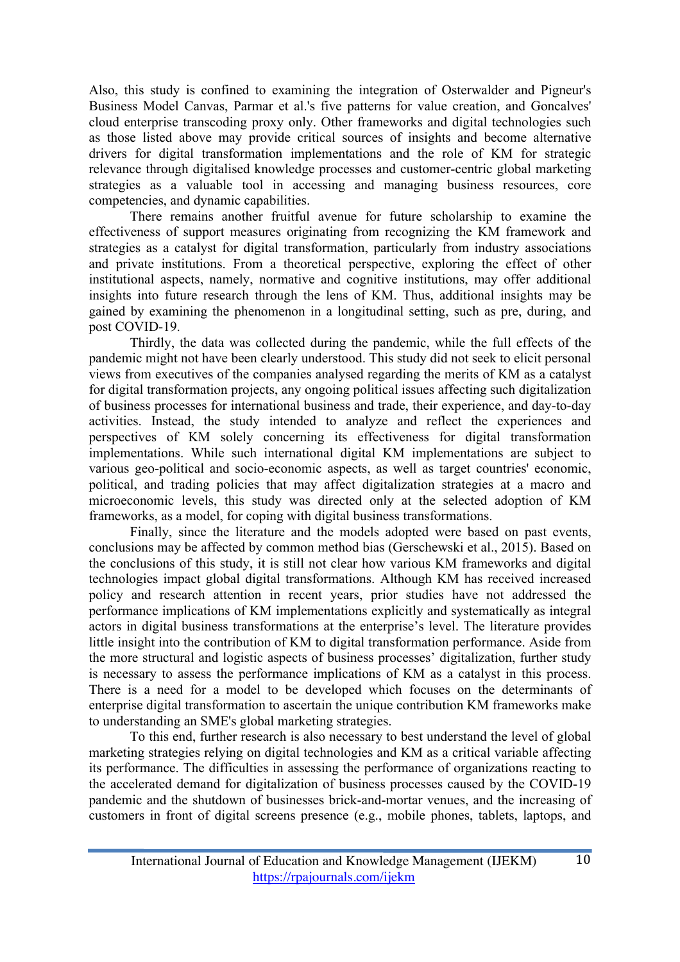Also, this study is confined to examining the integration of Osterwalder and Pigneur's Business Model Canvas, Parmar et al.'s five patterns for value creation, and Goncalves' cloud enterprise transcoding proxy only. Other frameworks and digital technologies such as those listed above may provide critical sources of insights and become alternative drivers for digital transformation implementations and the role of KM for strategic relevance through digitalised knowledge processes and customer-centric global marketing strategies as a valuable tool in accessing and managing business resources, core competencies, and dynamic capabilities.

There remains another fruitful avenue for future scholarship to examine the effectiveness of support measures originating from recognizing the KM framework and strategies as a catalyst for digital transformation, particularly from industry associations and private institutions. From a theoretical perspective, exploring the effect of other institutional aspects, namely, normative and cognitive institutions, may offer additional insights into future research through the lens of KM. Thus, additional insights may be gained by examining the phenomenon in a longitudinal setting, such as pre, during, and post COVID-19.

Thirdly, the data was collected during the pandemic, while the full effects of the pandemic might not have been clearly understood. This study did not seek to elicit personal views from executives of the companies analysed regarding the merits of KM as a catalyst for digital transformation projects, any ongoing political issues affecting such digitalization of business processes for international business and trade, their experience, and day-to-day activities. Instead, the study intended to analyze and reflect the experiences and perspectives of KM solely concerning its effectiveness for digital transformation implementations. While such international digital KM implementations are subject to various geo-political and socio-economic aspects, as well as target countries' economic, political, and trading policies that may affect digitalization strategies at a macro and microeconomic levels, this study was directed only at the selected adoption of KM frameworks, as a model, for coping with digital business transformations.

Finally, since the literature and the models adopted were based on past events, conclusions may be affected by common method bias (Gerschewski et al., 2015). Based on the conclusions of this study, it is still not clear how various KM frameworks and digital technologies impact global digital transformations. Although KM has received increased policy and research attention in recent years, prior studies have not addressed the performance implications of KM implementations explicitly and systematically as integral actors in digital business transformations at the enterprise's level. The literature provides little insight into the contribution of KM to digital transformation performance. Aside from the more structural and logistic aspects of business processes' digitalization, further study is necessary to assess the performance implications of KM as a catalyst in this process. There is a need for a model to be developed which focuses on the determinants of enterprise digital transformation to ascertain the unique contribution KM frameworks make to understanding an SME's global marketing strategies.

To this end, further research is also necessary to best understand the level of global marketing strategies relying on digital technologies and KM as a critical variable affecting its performance. The difficulties in assessing the performance of organizations reacting to the accelerated demand for digitalization of business processes caused by the COVID-19 pandemic and the shutdown of businesses brick-and-mortar venues, and the increasing of customers in front of digital screens presence (e.g., mobile phones, tablets, laptops, and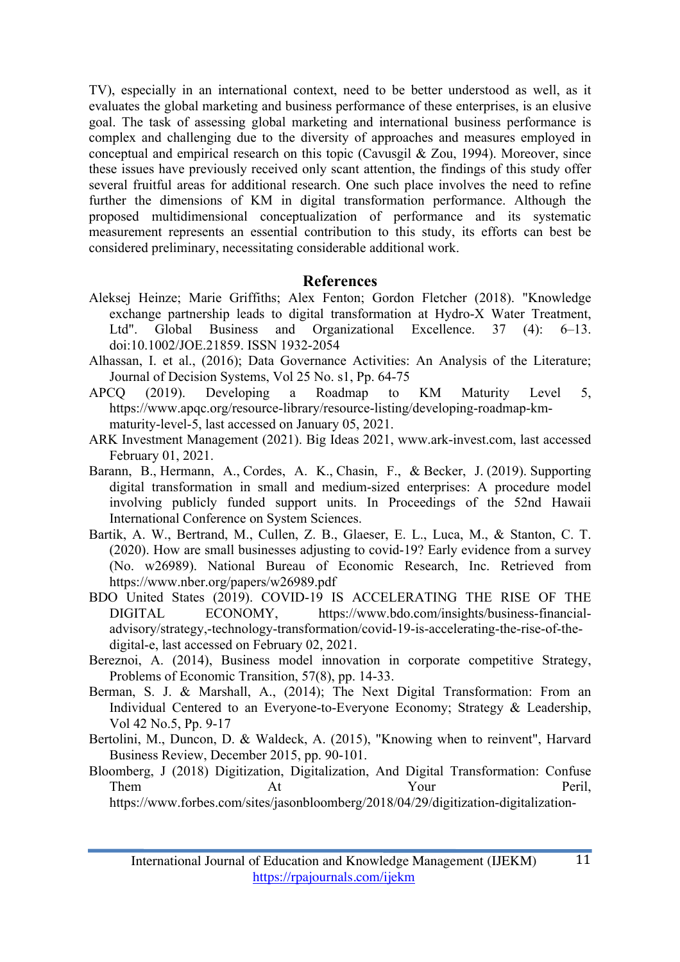TV), especially in an international context, need to be better understood as well, as it evaluates the global marketing and business performance of these enterprises, is an elusive goal. The task of assessing global marketing and international business performance is complex and challenging due to the diversity of approaches and measures employed in conceptual and empirical research on this topic (Cavusgil & Zou, 1994). Moreover, since these issues have previously received only scant attention, the findings of this study offer several fruitful areas for additional research. One such place involves the need to refine further the dimensions of KM in digital transformation performance. Although the proposed multidimensional conceptualization of performance and its systematic measurement represents an essential contribution to this study, its efforts can best be considered preliminary, necessitating considerable additional work.

#### **References**

- Aleksej Heinze; Marie Griffiths; Alex Fenton; Gordon Fletcher (2018). "Knowledge exchange partnership leads to digital transformation at Hydro-X Water Treatment, Ltd". Global Business and Organizational Excellence. 37 (4): 6–13. doi:10.1002/JOE.21859. ISSN 1932-2054
- Alhassan, I. et al., (2016); Data Governance Activities: An Analysis of the Literature; Journal of Decision Systems, Vol 25 No. s1, Pp. 64-75
- APCQ (2019). Developing a Roadmap to KM Maturity Level 5, https://www.apqc.org/resource-library/resource-listing/developing-roadmap-kmmaturity-level-5, last accessed on January 05, 2021.
- ARK Investment Management (2021). Big Ideas 2021, www.ark-invest.com, last accessed February 01, 2021.
- Barann, B., Hermann, A., Cordes, A. K., Chasin, F., & Becker, J. (2019). Supporting digital transformation in small and medium-sized enterprises: A procedure model involving publicly funded support units. In Proceedings of the 52nd Hawaii International Conference on System Sciences.
- Bartik, A. W., Bertrand, M., Cullen, Z. B., Glaeser, E. L., Luca, M., & Stanton, C. T. (2020). How are small businesses adjusting to covid-19? Early evidence from a survey (No. w26989). National Bureau of Economic Research, Inc. Retrieved from https://www.nber.org/papers/w26989.pdf
- BDO United States (2019). COVID-19 IS ACCELERATING THE RISE OF THE DIGITAL ECONOMY, https://www.bdo.com/insights/business-financialadvisory/strategy,-technology-transformation/covid-19-is-accelerating-the-rise-of-thedigital-e, last accessed on February 02, 2021.
- Bereznoi, A. (2014), Business model innovation in corporate competitive Strategy, Problems of Economic Transition, 57(8), pp. 14-33.
- Berman, S. J. & Marshall, A., (2014); The Next Digital Transformation: From an Individual Centered to an Everyone-to-Everyone Economy; Strategy & Leadership, Vol 42 No.5, Pp. 9-17
- Bertolini, M., Duncon, D. & Waldeck, A. (2015), "Knowing when to reinvent", Harvard Business Review, December 2015, pp. 90-101.
- Bloomberg, J (2018) Digitization, Digitalization, And Digital Transformation: Confuse Them At Your Peril,

https://www.forbes.com/sites/jasonbloomberg/2018/04/29/digitization-digitalization-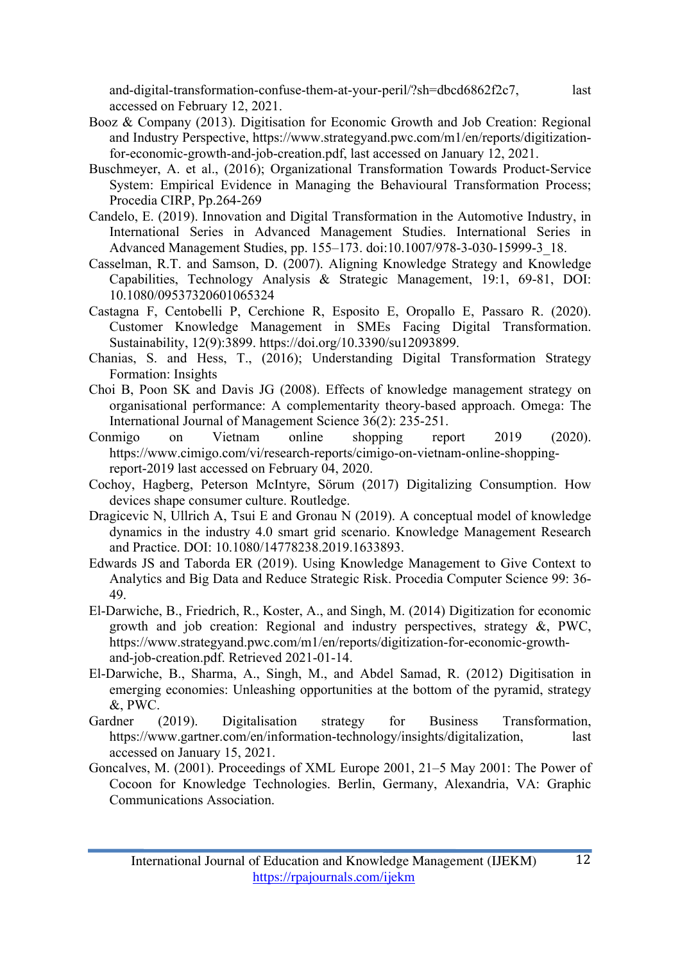and-digital-transformation-confuse-them-at-your-peril/?sh=dbcd6862f2c7, last accessed on February 12, 2021.

- Booz & Company (2013). Digitisation for Economic Growth and Job Creation: Regional and Industry Perspective, https://www.strategyand.pwc.com/m1/en/reports/digitizationfor-economic-growth-and-job-creation.pdf, last accessed on January 12, 2021.
- Buschmeyer, A. et al., (2016); Organizational Transformation Towards Product-Service System: Empirical Evidence in Managing the Behavioural Transformation Process; Procedia CIRP, Pp.264-269
- Candelo, E. (2019). Innovation and Digital Transformation in the Automotive Industry, in International Series in Advanced Management Studies. International Series in Advanced Management Studies, pp. 155–173. doi:10.1007/978-3-030-15999-3\_18.
- Casselman, R.T. and Samson, D. (2007). Aligning Knowledge Strategy and Knowledge Capabilities, Technology Analysis & Strategic Management, 19:1, 69-81, DOI: 10.1080/09537320601065324
- Castagna F, Centobelli P, Cerchione R, Esposito E, Oropallo E, Passaro R. (2020). Customer Knowledge Management in SMEs Facing Digital Transformation. Sustainability, 12(9):3899. https://doi.org/10.3390/su12093899.
- Chanias, S. and Hess, T., (2016); Understanding Digital Transformation Strategy Formation: Insights
- Choi B, Poon SK and Davis JG (2008). Effects of knowledge management strategy on organisational performance: A complementarity theory-based approach. Omega: The International Journal of Management Science 36(2): 235-251.
- Conmigo on Vietnam online shopping report 2019 (2020). https://www.cimigo.com/vi/research-reports/cimigo-on-vietnam-online-shoppingreport-2019 last accessed on February 04, 2020.
- Cochoy, Hagberg, Peterson McIntyre, Sörum (2017) Digitalizing Consumption. How devices shape consumer culture. Routledge.
- Dragicevic N, Ullrich A, Tsui E and Gronau N (2019). A conceptual model of knowledge dynamics in the industry 4.0 smart grid scenario. Knowledge Management Research and Practice. DOI: 10.1080/14778238.2019.1633893.
- Edwards JS and Taborda ER (2019). Using Knowledge Management to Give Context to Analytics and Big Data and Reduce Strategic Risk. Procedia Computer Science 99: 36- 49.
- El-Darwiche, B., Friedrich, R., Koster, A., and Singh, M. (2014) Digitization for economic growth and job creation: Regional and industry perspectives, strategy &, PWC, https://www.strategyand.pwc.com/m1/en/reports/digitization-for-economic-growthand-job-creation.pdf. Retrieved 2021-01-14.
- El-Darwiche, B., Sharma, A., Singh, M., and Abdel Samad, R. (2012) Digitisation in emerging economies: Unleashing opportunities at the bottom of the pyramid, strategy &, PWC.
- Gardner (2019). Digitalisation strategy for Business Transformation, https://www.gartner.com/en/information-technology/insights/digitalization, last accessed on January 15, 2021.
- Goncalves, M. (2001). Proceedings of XML Europe 2001, 21–5 May 2001: The Power of Cocoon for Knowledge Technologies. Berlin, Germany, Alexandria, VA: Graphic Communications Association.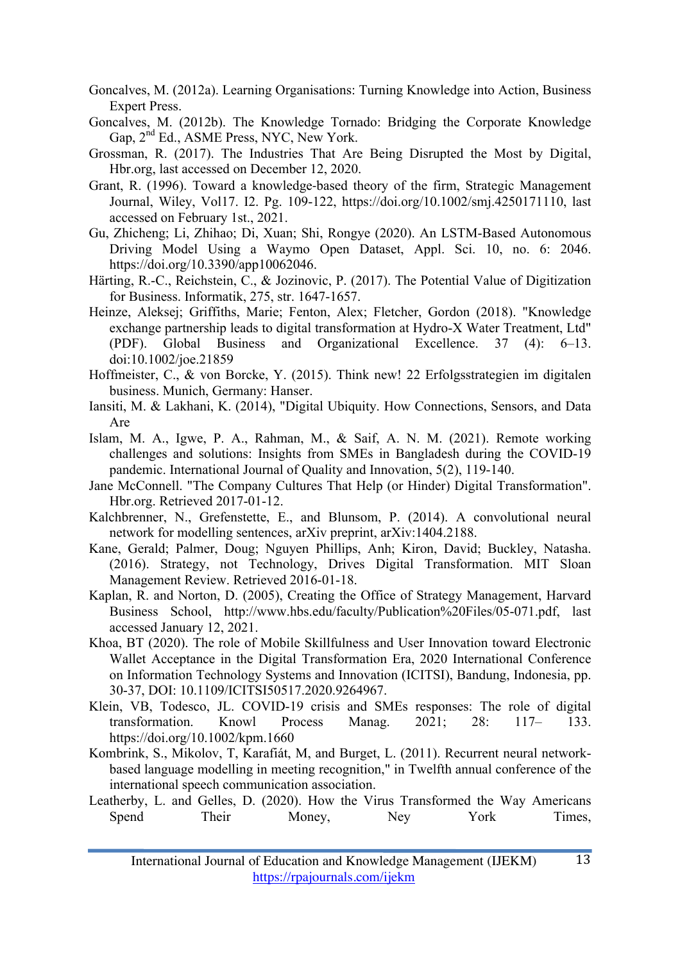- Goncalves, M. (2012a). Learning Organisations: Turning Knowledge into Action, Business Expert Press.
- Goncalves, M. (2012b). The Knowledge Tornado: Bridging the Corporate Knowledge Gap,  $2^{nd}$  Ed., ASME Press, NYC, New York.
- Grossman, R. (2017). The Industries That Are Being Disrupted the Most by Digital, Hbr.org, last accessed on December 12, 2020.
- Grant, R. (1996). Toward a knowledge-based theory of the firm, Strategic Management Journal, Wiley, Vol17. I2. Pg. 109-122, https://doi.org/10.1002/smj.4250171110, last accessed on February 1st., 2021.
- Gu, Zhicheng; Li, Zhihao; Di, Xuan; Shi, Rongye (2020). An LSTM-Based Autonomous Driving Model Using a Waymo Open Dataset, Appl. Sci. 10, no. 6: 2046. https://doi.org/10.3390/app10062046.
- Härting, R.-C., Reichstein, C., & Jozinovic, P. (2017). The Potential Value of Digitization for Business. Informatik, 275, str. 1647-1657.
- Heinze, Aleksej; Griffiths, Marie; Fenton, Alex; Fletcher, Gordon (2018). "Knowledge exchange partnership leads to digital transformation at Hydro-X Water Treatment, Ltd" (PDF). Global Business and Organizational Excellence. 37 (4): 6–13. doi:10.1002/joe.21859
- Hoffmeister, C., & von Borcke, Y. (2015). Think new! 22 Erfolgsstrategien im digitalen business. Munich, Germany: Hanser.
- Iansiti, M. & Lakhani, K. (2014), "Digital Ubiquity. How Connections, Sensors, and Data Are
- Islam, M. A., Igwe, P. A., Rahman, M., & Saif, A. N. M. (2021). Remote working challenges and solutions: Insights from SMEs in Bangladesh during the COVID-19 pandemic. International Journal of Quality and Innovation, 5(2), 119-140.
- Jane McConnell. "The Company Cultures That Help (or Hinder) Digital Transformation". Hbr.org. Retrieved 2017-01-12.
- Kalchbrenner, N., Grefenstette, E., and Blunsom, P. (2014). A convolutional neural network for modelling sentences, arXiv preprint, arXiv:1404.2188.
- Kane, Gerald; Palmer, Doug; Nguyen Phillips, Anh; Kiron, David; Buckley, Natasha. (2016). Strategy, not Technology, Drives Digital Transformation. MIT Sloan Management Review. Retrieved 2016-01-18.
- Kaplan, R. and Norton, D. (2005), Creating the Office of Strategy Management, Harvard Business School, http://www.hbs.edu/faculty/Publication%20Files/05-071.pdf, last accessed January 12, 2021.
- Khoa, BT (2020). The role of Mobile Skillfulness and User Innovation toward Electronic Wallet Acceptance in the Digital Transformation Era, 2020 International Conference on Information Technology Systems and Innovation (ICITSI), Bandung, Indonesia, pp. 30-37, DOI: 10.1109/ICITSI50517.2020.9264967.
- Klein, VB, Todesco, JL. COVID-19 crisis and SMEs responses: The role of digital transformation. Knowl Process Manag. 2021; 28: 117– 133. https://doi.org/10.1002/kpm.1660
- Kombrink, S., Mikolov, T, Karafiát, M, and Burget, L. (2011). Recurrent neural networkbased language modelling in meeting recognition," in Twelfth annual conference of the international speech communication association.
- Leatherby, L. and Gelles, D. (2020). How the Virus Transformed the Way Americans Spend Their Money, Ney York Times,

International Journal of Education and Knowledge Management (IJEKM) 13 https://rpajournals.com/ijekm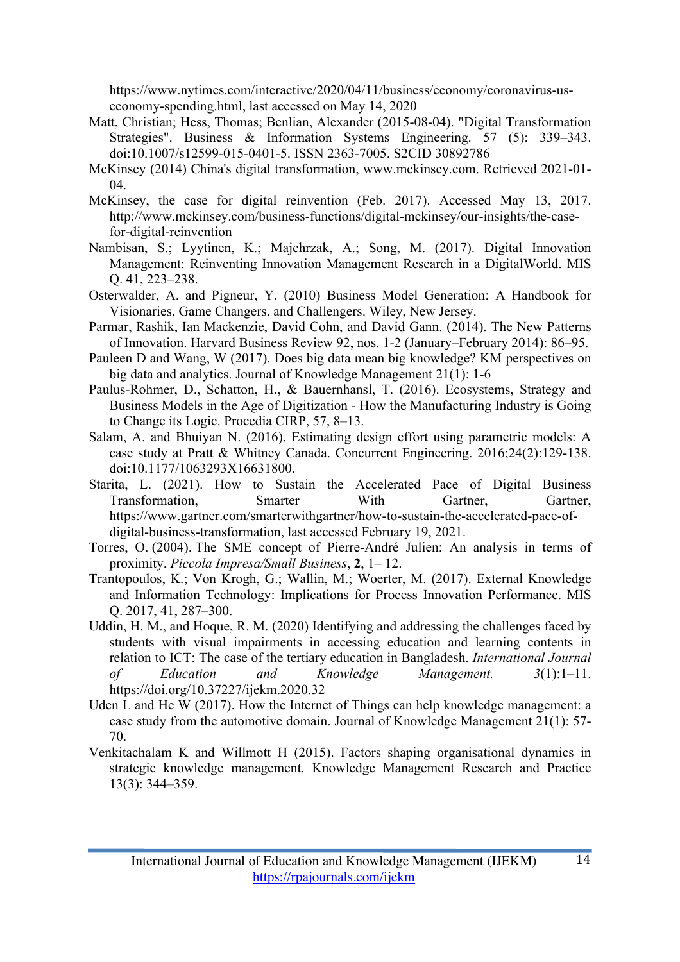https://www.nytimes.com/interactive/2020/04/11/business/economy/coronavirus-useconomy-spending.html, last accessed on May 14, 2020

- Matt, Christian; Hess, Thomas; Benlian, Alexander (2015-08-04). "Digital Transformation Strategies". Business & Information Systems Engineering. 57 (5): 339–343. doi:10.1007/s12599-015-0401-5. ISSN 2363-7005. S2CID 30892786
- McKinsey (2014) China's digital transformation, www.mckinsey.com. Retrieved 2021-01- 04.
- McKinsey, the case for digital reinvention (Feb. 2017). Accessed May 13, 2017. http://www.mckinsey.com/business-functions/digital-mckinsey/our-insights/the-casefor-digital-reinvention
- Nambisan, S.; Lyytinen, K.; Majchrzak, A.; Song, M. (2017). Digital Innovation Management: Reinventing Innovation Management Research in a DigitalWorld. MIS Q. 41, 223–238.
- Osterwalder, A. and Pigneur, Y. (2010) Business Model Generation: A Handbook for Visionaries, Game Changers, and Challengers. Wiley, New Jersey.
- Parmar, Rashik, Ian Mackenzie, David Cohn, and David Gann. (2014). The New Patterns of Innovation. Harvard Business Review 92, nos. 1-2 (January–February 2014): 86–95.
- Pauleen D and Wang, W (2017). Does big data mean big knowledge? KM perspectives on big data and analytics. Journal of Knowledge Management 21(1): 1-6
- Paulus-Rohmer, D., Schatton, H., & Bauernhansl, T. (2016). Ecosystems, Strategy and Business Models in the Age of Digitization - How the Manufacturing Industry is Going to Change its Logic. Procedia CIRP, 57, 8–13.
- Salam, A. and Bhuiyan N. (2016). Estimating design effort using parametric models: A case study at Pratt & Whitney Canada. Concurrent Engineering. 2016;24(2):129-138. doi:10.1177/1063293X16631800.
- Starita, L. (2021). How to Sustain the Accelerated Pace of Digital Business Transformation, Smarter With Gartner, Gartner, https://www.gartner.com/smarterwithgartner/how-to-sustain-the-accelerated-pace-ofdigital-business-transformation, last accessed February 19, 2021.
- Torres, O. (2004). The SME concept of Pierre-André Julien: An analysis in terms of proximity. *Piccola Impresa/Small Business*, **2**, 1– 12.
- Trantopoulos, K.; Von Krogh, G.; Wallin, M.; Woerter, M. (2017). External Knowledge and Information Technology: Implications for Process Innovation Performance. MIS Q. 2017, 41, 287–300.
- Uddin, H. M., and Hoque, R. M. (2020) Identifying and addressing the challenges faced by students with visual impairments in accessing education and learning contents in relation to ICT: The case of the tertiary education in Bangladesh. *International Journal of Education and Knowledge Management. 3*(1):1–11. https://doi.org/10.37227/ijekm.2020.32
- Uden L and He W (2017). How the Internet of Things can help knowledge management: a case study from the automotive domain. Journal of Knowledge Management 21(1): 57- 70.
- Venkitachalam K and Willmott H (2015). Factors shaping organisational dynamics in strategic knowledge management. Knowledge Management Research and Practice 13(3): 344–359.